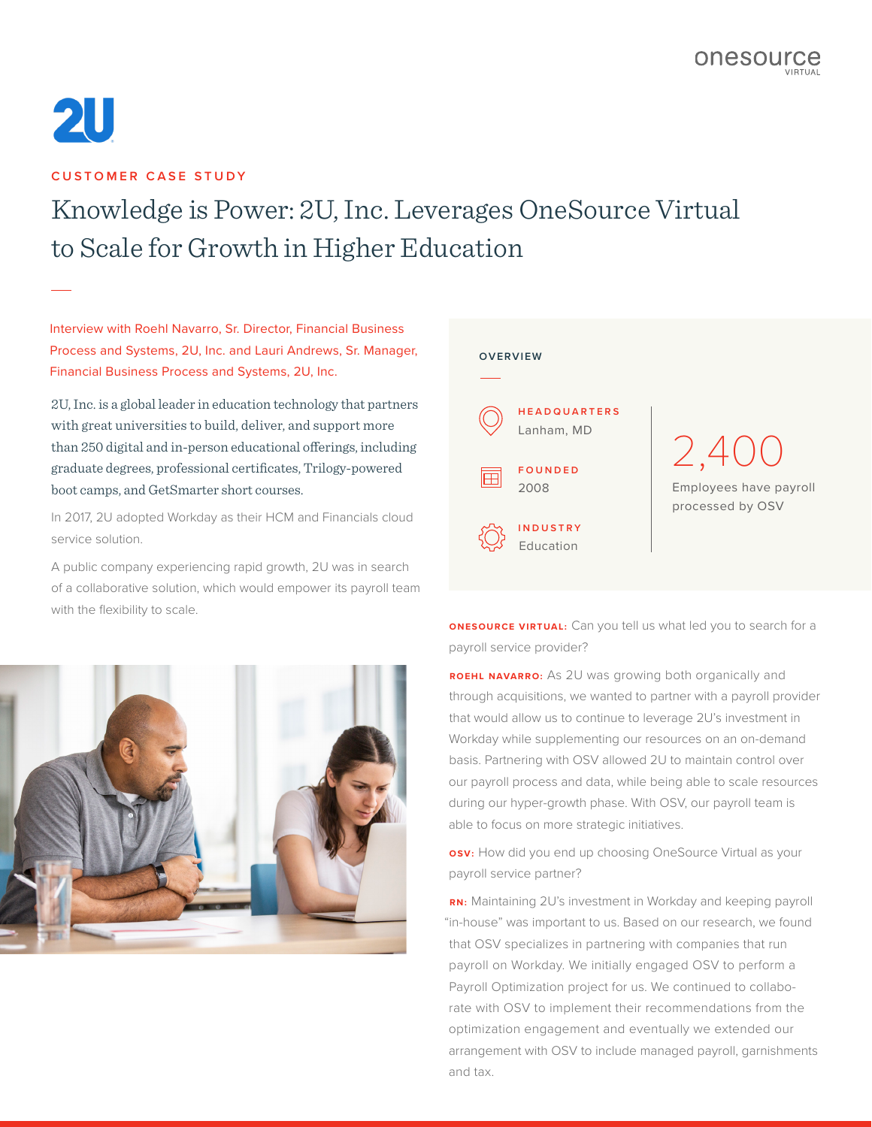

## **CUSTOMER CASE STUDY**

# Knowledge is Power: 2U, Inc. Leverages OneSource Virtual to Scale for Growth in Higher Education

Interview with Roehl Navarro, Sr. Director, Financial Business Process and Systems, 2U, Inc. and Lauri Andrews, Sr. Manager, Financial Business Process and Systems, 2U, Inc.

2U, Inc. is a global leader in education technology that partners with great universities to build, deliver, and support more than 250 digital and in-person educational offerings, including graduate degrees, professional certificates, Trilogy-powered boot camps, and GetSmarter short courses.

In 2017, 2U adopted Workday as their HCM and Financials cloud service solution.

A public company experiencing rapid growth, 2U was in search of a collaborative solution, which would empower its payroll team with the flexibility to scale.





**ONESOURCE VIRTUAL:** Can you tell us what led you to search for a payroll service provider?

**ROEHL NAVARRO:** As 2U was growing both organically and through acquisitions, we wanted to partner with a payroll provider that would allow us to continue to leverage 2U's investment in Workday while supplementing our resources on an on-demand basis. Partnering with OSV allowed 2U to maintain control over our payroll process and data, while being able to scale resources during our hyper-growth phase. With OSV, our payroll team is able to focus on more strategic initiatives.

**OSV:** How did you end up choosing OneSource Virtual as your payroll service partner?

**RN:** Maintaining 2U's investment in Workday and keeping payroll "in-house" was important to us. Based on our research, we found that OSV specializes in partnering with companies that run payroll on Workday. We initially engaged OSV to perform a Payroll Optimization project for us. We continued to collaborate with OSV to implement their recommendations from the optimization engagement and eventually we extended our arrangement with OSV to include managed payroll, garnishments and tax.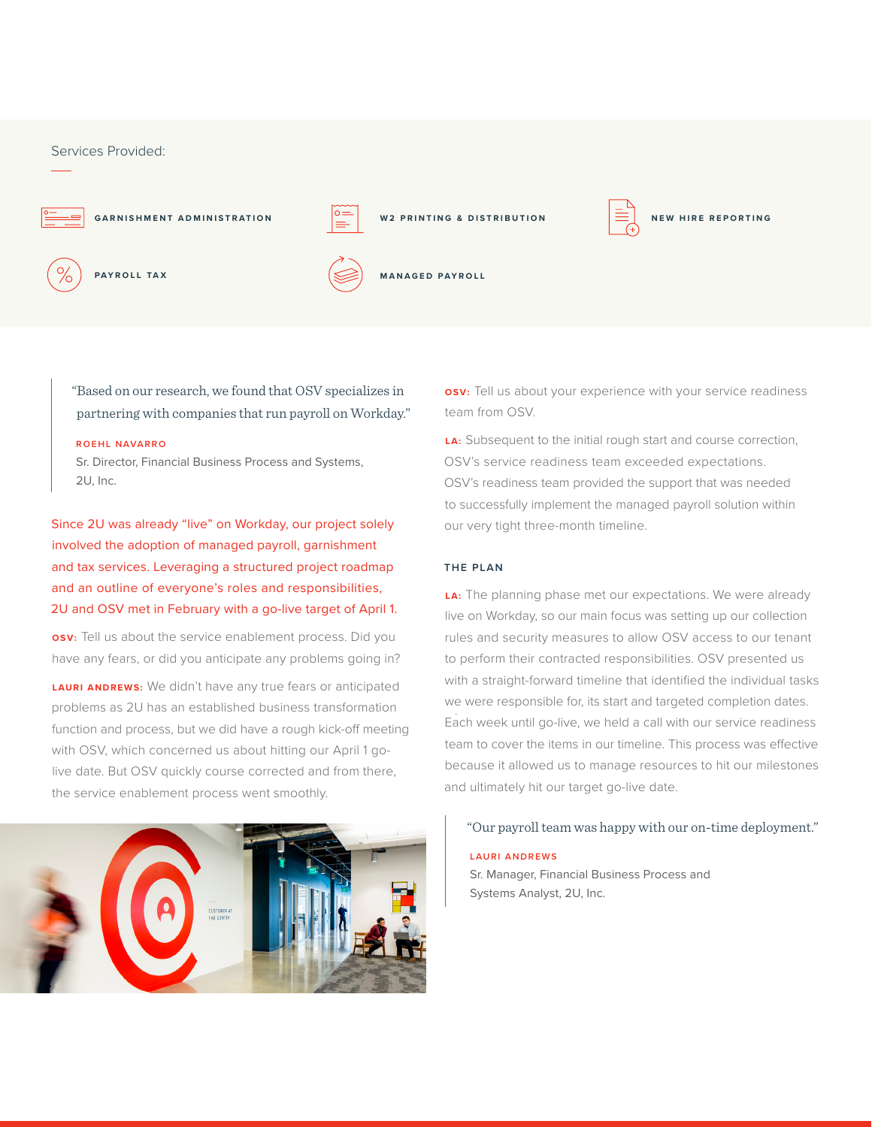## Services Provided:





**MANAGED PAYROLL**

"Based on our research, we found that OSV specializes in partnering with companies that run payroll on Workday."

#### **ROEHL NAVARRO**

Sr. Director, Financial Business Process and Systems, 2U, Inc.

Since 2U was already "live" on Workday, our project solely involved the adoption of managed payroll, garnishment and tax services. Leveraging a structured project roadmap and an outline of everyone's roles and responsibilities, 2U and OSV met in February with a go-live target of April 1.

**OSV:** Tell us about the service enablement process. Did you have any fears, or did you anticipate any problems going in?

**LAURI ANDREWS:** We didn't have any true fears or anticipated problems as 2U has an established business transformation function and process, but we did have a rough kick-off meeting with OSV, which concerned us about hitting our April 1 golive date. But OSV quickly course corrected and from there, the service enablement process went smoothly.



**OSV:** Tell us about your experience with your service readiness team from OSV.

**LA:** Subsequent to the initial rough start and course correction, OSV's service readiness team exceeded expectations. OSV's readiness team provided the support that was needed to successfully implement the managed payroll solution within our very tight three-month timeline.

#### **THE PLAN**

**LA:** The planning phase met our expectations. We were already live on Workday, so our main focus was setting up our collection rules and security measures to allow OSV access to our tenant to perform their contracted responsibilities. OSV presented us with a straight-forward timeline that identified the individual tasks we were responsible for, its start and targeted completion dates. Each week until go-live, we held a call with our service readiness team to cover the items in our timeline. This process was effective because it allowed us to manage resources to hit our milestones and ultimately hit our target go-live date.

#### "Our payroll team was happy with our on-time deployment."

#### **LAURI ANDREWS**

Sr. Manager, Financial Business Process and Systems Analyst, 2U, Inc.